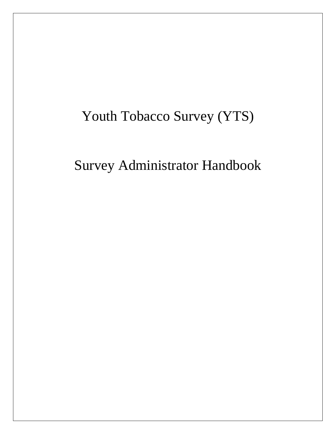# Youth Tobacco Survey (YTS)

Survey Administrator Handbook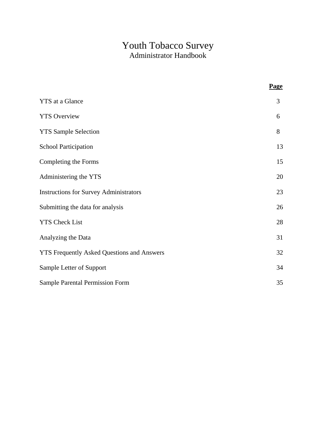# Youth Tobacco Survey Administrator Handbook

|                                                   | <b>Page</b> |
|---------------------------------------------------|-------------|
| <b>YTS</b> at a Glance                            | 3           |
| <b>YTS Overview</b>                               | 6           |
| <b>YTS Sample Selection</b>                       | 8           |
| <b>School Participation</b>                       | 13          |
| Completing the Forms                              | 15          |
| Administering the YTS                             | 20          |
| <b>Instructions for Survey Administrators</b>     | 23          |
| Submitting the data for analysis                  | 26          |
| <b>YTS Check List</b>                             | 28          |
| Analyzing the Data                                | 31          |
| <b>YTS Frequently Asked Questions and Answers</b> | 32          |
| Sample Letter of Support                          | 34          |
| <b>Sample Parental Permission Form</b>            | 35          |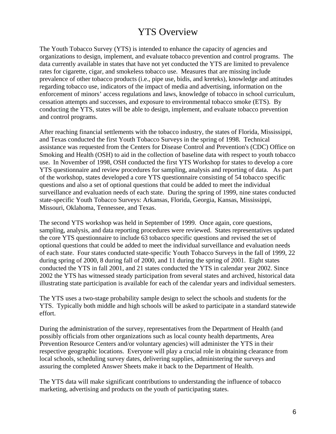# YTS Overview

The Youth Tobacco Survey (YTS) is intended to enhance the capacity of agencies and organizations to design, implement, and evaluate tobacco prevention and control programs. The data currently available in states that have not yet conducted the YTS are limited to prevalence rates for cigarette, cigar, and smokeless tobacco use. Measures that are missing include prevalence of other tobacco products (i.e., pipe use, bidis, and kreteks), knowledge and attitudes regarding tobacco use, indicators of the impact of media and advertising, information on the enforcement of minors' access regulations and laws, knowledge of tobacco in school curriculum, cessation attempts and successes, and exposure to environmental tobacco smoke (ETS). By conducting the YTS, states will be able to design, implement, and evaluate tobacco prevention and control programs.

After reaching financial settlements with the tobacco industry, the states of Florida, Mississippi, and Texas conducted the first Youth Tobacco Surveys in the spring of 1998. Technical assistance was requested from the Centers for Disease Control and Prevention's (CDC) Office on Smoking and Health (OSH) to aid in the collection of baseline data with respect to youth tobacco use. In November of 1998, OSH conducted the first YTS Workshop for states to develop a core YTS questionnaire and review procedures for sampling, analysis and reporting of data. As part of the workshop, states developed a core YTS questionnaire consisting of 54 tobacco specific questions and also a set of optional questions that could be added to meet the individual surveillance and evaluation needs of each state. During the spring of 1999, nine states conducted state-specific Youth Tobacco Surveys: Arkansas, Florida, Georgia, Kansas, Mississippi, Missouri, Oklahoma, Tennessee, and Texas.

The second YTS workshop was held in September of 1999. Once again, core questions, sampling, analysis, and data reporting procedures were reviewed. States representatives updated the core YTS questionnaire to include 63 tobacco specific questions and revised the set of optional questions that could be added to meet the individual surveillance and evaluation needs of each state. Four states conducted state-specific Youth Tobacco Surveys in the fall of 1999, 22 during spring of 2000, 8 during fall of 2000, and 11 during the spring of 2001. Eight states conducted the YTS in fall 2001, and 21 states conducted the YTS in calendar year 2002. Since 2002 the YTS has witnessed steady participation from several states and archived, historical data illustrating state participation is available for each of the calendar years and individual semesters.

The YTS uses a two-stage probability sample design to select the schools and students for the YTS. Typically both middle and high schools will be asked to participate in a standard statewide effort.

During the administration of the survey, representatives from the Department of Health (and possibly officials from other organizations such as local county health departments, Area Prevention Resource Centers and/or voluntary agencies) will administer the YTS in their respective geographic locations. Everyone will play a crucial role in obtaining clearance from local schools, scheduling survey dates, delivering supplies, administering the surveys and assuring the completed Answer Sheets make it back to the Department of Health.

The YTS data will make significant contributions to understanding the influence of tobacco marketing, advertising and products on the youth of participating states.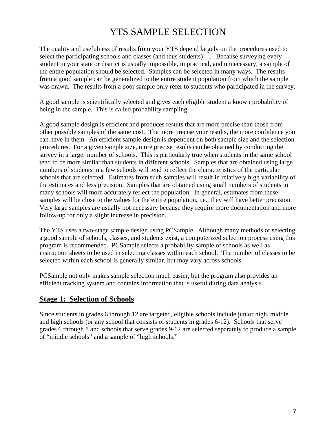# YTS SAMPLE SELECTION

The quality and usefulness of results from your YTS depend largely on the procedures used to select the participating schools and classes (and thus students)<sup>1, 2</sup>. Because surveying every student in your state or district is usually impossible, impractical, and unnecessary, a sample of the entire population should be selected. Samples can be selected in many ways. The results from a good sample can be generalized to the entire student population from which the sample was drawn. The results from a poor sample only refer to students who participated in the survey.

A good sample is scientifically selected and gives each eligible student a known probability of being in the sample. This is called probability sampling.

A good sample design is efficient and produces results that are more precise than those from other possible samples of the same cost. The more precise your results, the more confidence you can have in them. An efficient sample design is dependent on both sample size and the selection procedures. For a given sample size, more precise results can be obtained by conducting the survey in a larger number of schools. This is particularly true when students in the same school tend to be more similar than students in different schools. Samples that are obtained using large numbers of students in a few schools will tend to reflect the characteristics of the particular schools that are selected. Estimates from such samples will result in relatively high variability of the estimates and less precision. Samples that are obtained using small numbers of students in many schools will more accurately reflect the population. In general, estimates from these samples will be close to the values for the entire population, i.e., they will have better precision. Very large samples are usually not necessary because they require more documentation and more follow-up for only a slight increase in precision.

The YTS uses a two-stage sample design using PCSample. Although many methods of selecting a good sample of schools, classes, and students exist, a computerized selection process using this program is recommended. PCSample selects a probability sample of schools as well as instruction sheets to be used in selecting classes within each school. The number of classes to be selected within each school is generally similar, but may vary across schools.

PCSample not only makes sample selection much easier, but the program also provides an efficient tracking system and contains information that is useful during data analysis.

# **Stage 1: Selection of Schools**

Since students in grades 6 through 12 are targeted, eligible schools include junior high, middle and high schools (or any school that consists of students in grades 6-12). Schools that serve grades 6 through 8 and schools that serve grades 9-12 are selected separately to produce a sample of "middle schools" and a sample of "high schools."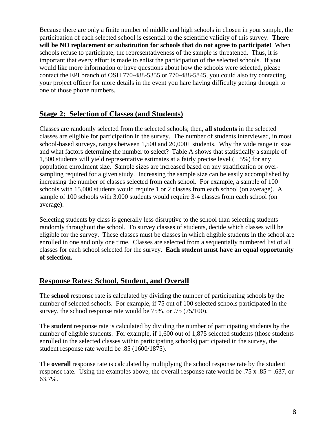Because there are only a finite number of middle and high schools in chosen in your sample, the participation of each selected school is essential to the scientific validity of this survey. **There will be NO replacement or substitution for schools that do not agree to participate!** When schools refuse to participate, the representativeness of the sample is threatened. Thus, it is important that every effort is made to enlist the participation of the selected schools. If you would like more information or have questions about how the schools were selected, please contact the EPI branch of OSH 770-488-5355 or 770-488-5845, you could also try contacting your project officer for more details in the event you hare having difficulty getting through to one of those phone numbers.

# **Stage 2: Selection of Classes (and Students)**

Classes are randomly selected from the selected schools; then, **all students** in the selected classes are eligible for participation in the survey. The number of students interviewed, in most school-based surveys, ranges between 1,500 and 20,000+ students. Why the wide range in size and what factors determine the number to select? Table A shows that statistically a sample of 1,500 students will yield representative estimates at a fairly precise level  $(\pm 5\%)$  for any population enrollment size. Sample sizes are increased based on any stratification or oversampling required for a given study. Increasing the sample size can be easily accomplished by increasing the number of classes selected from each school. For example, a sample of 100 schools with 15,000 students would require 1 or 2 classes from each school (on average). A sample of 100 schools with 3,000 students would require 3-4 classes from each school (on average).

Selecting students by class is generally less disruptive to the school than selecting students randomly throughout the school. To survey classes of students, decide which classes will be eligible for the survey. These classes must be classes in which eligible students in the school are enrolled in one and only one time. Classes are selected from a sequentially numbered list of all classes for each school selected for the survey. **Each student must have an equal opportunity of selection.** 

# **Response Rates: School, Student, and Overall**

The **school** response rate is calculated by dividing the number of participating schools by the number of selected schools. For example, if 75 out of 100 selected schools participated in the survey, the school response rate would be 75%, or .75 (75/100).

The **student** response rate is calculated by dividing the number of participating students by the number of eligible students. For example, if 1,600 out of 1,875 selected students (those students enrolled in the selected classes within participating schools) participated in the survey, the student response rate would be .85 (1600/1875).

The **overall** response rate is calculated by multiplying the school response rate by the student response rate. Using the examples above, the overall response rate would be .75 x .85 = .637, or 63.7%.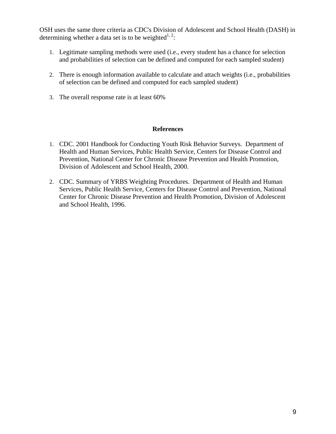OSH uses the same three criteria as CDC's Division of Adolescent and School Health (DASH) in determining whether a data set is to be weighted<sup>1, 2</sup>:

- 1. Legitimate sampling methods were used (i.e., every student has a chance for selection and probabilities of selection can be defined and computed for each sampled student)
- 2. There is enough information available to calculate and attach weights (i.e., probabilities of selection can be defined and computed for each sampled student)
- 3. The overall response rate is at least 60%

#### **References**

- 1. CDC. 2001 Handbook for Conducting Youth Risk Behavior Surveys. Department of Health and Human Services, Public Health Service, Centers for Disease Control and Prevention, National Center for Chronic Disease Prevention and Health Promotion, Division of Adolescent and School Health, 2000.
- 2. CDC. Summary of YRBS Weighting Procedures. Department of Health and Human Services, Public Health Service, Centers for Disease Control and Prevention, National Center for Chronic Disease Prevention and Health Promotion, Division of Adolescent and School Health, 1996.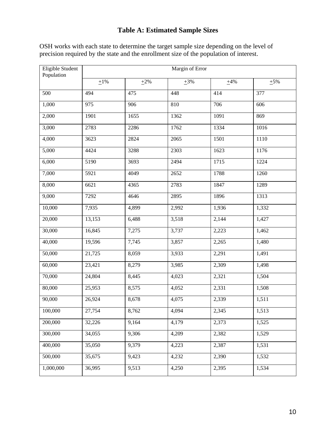# **Table A: Estimated Sample Sizes**

| Eligible Student<br>Population | Margin of Error |           |                |           |           |
|--------------------------------|-----------------|-----------|----------------|-----------|-----------|
|                                | $\pm 1\%$       | $\pm 2\%$ | $\pm 3\%$      | $\pm 4\%$ | $\pm 5\%$ |
| 500                            | 494             | 475       | 448<br>414     |           | 377       |
| 1,000                          | 975             | 906       | 810            | 706       | 606       |
| 2,000                          | 1901            | 1655      | 1362           | 1091      | 869       |
| 3,000                          | 2783            | 2286      | 1762           | 1334      | 1016      |
| 4,000                          | 3623<br>2824    |           | 2065           | 1501      | 1110      |
| 5,000                          | 4424            | 3288      | 1623<br>2303   |           | 1176      |
| 6,000                          | 5190            | 3693      | 2494<br>1715   |           | 1224      |
| 7,000                          | 5921            | 4049      | 2652           | 1788      | 1260      |
| 8,000                          | 6621            | 4365      | 2783           | 1847      | 1289      |
| 9,000                          | 7292            | 4646      | 2895           | 1896      | 1313      |
| 10,000                         | 7,935           | 4,899     | 2,992          | 1,936     | 1,332     |
| 20,000                         | 13,153          | 6,488     | 3,518          | 2,144     | 1,427     |
| 30,000                         | 16,845          | 7,275     | 3,737          | 2,223     | 1,462     |
| 40,000                         | 19,596          | 7,745     | 3,857          | 2,265     | 1,480     |
| 50,000                         | 21,725          | 8,059     | 3,933          | 2,291     | 1,491     |
| 60,000                         | 23,421          | 8,279     | 3,985<br>2,309 |           | 1,498     |
| 70,000                         | 24,804          | 8,445     | 4,023          | 2,321     | 1,504     |
| 80,000                         | 25,953          | 8,575     | 4,052          | 2,331     | 1,508     |
| 90,000                         | 26,924          | 8,678     | 4,075          | 2,339     | 1,511     |
| 100,000                        | 27,754          | 8,762     | 4,094          | 2,345     | 1,513     |
| 200,000                        | 32,226          | 9,164     | 4,179          | 2,373     | 1,525     |
| 300,000                        | 34,055          | 9,306     | 4,209          | 2,382     | 1,529     |
| 400,000                        | 35,050          | 9,379     | 4,223          | 2,387     | 1,531     |
| 500,000                        | 35,675          | 9,423     | 4,232          | 2,390     | 1,532     |
| 1,000,000                      | 36,995          | 9,513     | 4,250          | 2,395     | 1,534     |

OSH works with each state to determine the target sample size depending on the level of precision required by the state and the enrollment size of the population of interest.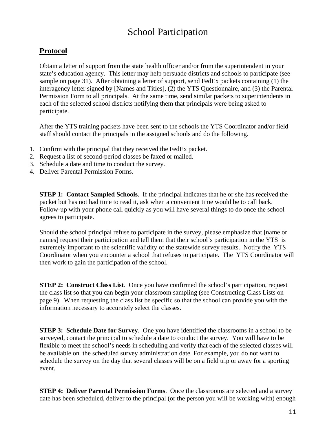# School Participation

# **Protocol**

Obtain a letter of support from the state health officer and/or from the superintendent in your state's education agency. This letter may help persuade districts and schools to participate (see sample on page 31). After obtaining a letter of support, send FedEx packets containing (1) the interagency letter signed by [Names and Titles], (2) the YTS Questionnaire, and (3) the Parental Permission Form to all principals. At the same time, send similar packets to superintendents in each of the selected school districts notifying them that principals were being asked to participate.

After the YTS training packets have been sent to the schools the YTS Coordinator and/or field staff should contact the principals in the assigned schools and do the following.

- 1. Confirm with the principal that they received the FedEx packet.
- 2. Request a list of second-period classes be faxed or mailed.
- 3. Schedule a date and time to conduct the survey.
- 4. Deliver Parental Permission Forms.

**STEP 1: Contact Sampled Schools.** If the principal indicates that he or she has received the packet but has not had time to read it, ask when a convenient time would be to call back. Follow-up with your phone call quickly as you will have several things to do once the school agrees to participate.

Should the school principal refuse to participate in the survey, please emphasize that [name or names] request their participation and tell them that their school's participation in the YTS is extremely important to the scientific validity of the statewide survey results. Notify the YTS Coordinator when you encounter a school that refuses to participate. The YTS Coordinator will then work to gain the participation of the school.

**STEP 2: Construct Class List.** Once you have confirmed the school's participation, request the class list so that you can begin your classroom sampling (see Constructing Class Lists on page 9). When requesting the class list be specific so that the school can provide you with the information necessary to accurately select the classes.

**STEP 3: Schedule Date for Survey**. One you have identified the classrooms in a school to be surveyed, contact the principal to schedule a date to conduct the survey. You will have to be flexible to meet the school's needs in scheduling and verify that each of the selected classes will be available on the scheduled survey administration date. For example, you do not want to schedule the survey on the day that several classes will be on a field trip or away for a sporting event.

**STEP 4: Deliver Parental Permission Forms.** Once the classrooms are selected and a survey date has been scheduled, deliver to the principal (or the person you will be working with) enough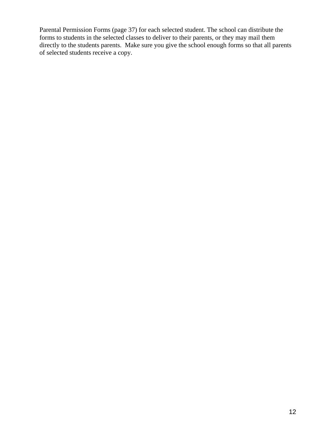Parental Permission Forms (page 37) for each selected student. The school can distribute the forms to students in the selected classes to deliver to their parents, or they may mail them directly to the students parents. Make sure you give the school enough forms so that all parents of selected students receive a copy.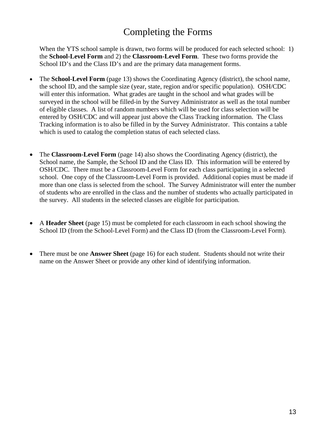# Completing the Forms

When the YTS school sample is drawn, two forms will be produced for each selected school: 1) the **School-Level Form** and 2) the **Classroom-Level Form**. These two forms provide the School ID's and the Class ID's and are the primary data management forms.

- The **School-Level Form** (page 13) shows the Coordinating Agency (district), the school name, the school ID, and the sample size (year, state, region and/or specific population). OSH/CDC will enter this information. What grades are taught in the school and what grades will be surveyed in the school will be filled-in by the Survey Administrator as well as the total number of eligible classes. A list of random numbers which will be used for class selection will be entered by OSH/CDC and will appear just above the Class Tracking information. The Class Tracking information is to also be filled in by the Survey Administrator. This contains a table which is used to catalog the completion status of each selected class.
- The **Classroom-Level Form** (page 14) also shows the Coordinating Agency (district), the School name, the Sample, the School ID and the Class ID. This information will be entered by OSH/CDC. There must be a Classroom-Level Form for each class participating in a selected school. One copy of the Classroom-Level Form is provided. Additional copies must be made if more than one class is selected from the school. The Survey Administrator will enter the number of students who are enrolled in the class and the number of students who actually participated in the survey. All students in the selected classes are eligible for participation.
- A **Header Sheet** (page 15) must be completed for each classroom in each school showing the School ID (from the School-Level Form) and the Class ID (from the Classroom-Level Form).
- There must be one **Answer Sheet** (page 16) for each student. Students should not write their name on the Answer Sheet or provide any other kind of identifying information.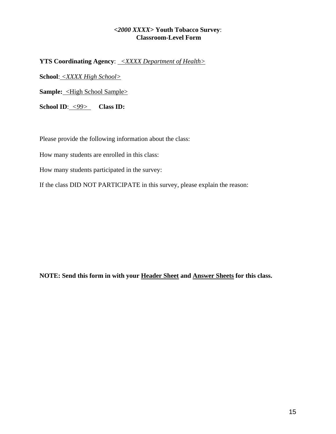### *<2000 XXXX>* **Youth Tobacco Survey**: **Classroom-Level Form**

**YTS Coordinating Agency**: *<XXXX Department of Health>* 

**School**: *<XXXX High School>*

**Sample:** <High School Sample>

**School ID**: *<99>* **Class ID:**

Please provide the following information about the class:

How many students are enrolled in this class:

How many students participated in the survey:

If the class DID NOT PARTICIPATE in this survey, please explain the reason:

**NOTE: Send this form in with your Header Sheet and Answer Sheets for this class.**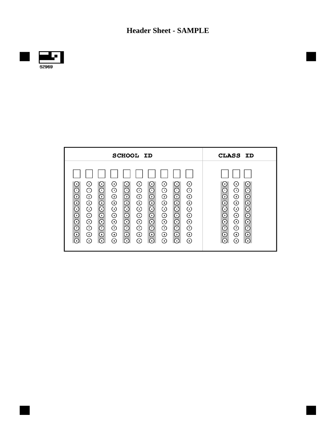**Header Sheet - SAMPLE** 



 $\overline{\phantom{a}}$ 

| <b>SCHOOL ID</b>                                                                                                                                                                                                                                                                                                                                                                                                                                                                                                                                                                                                                                                                                                                                                                                                                                                                                                                           | CLASS ID                                                                                                                                                                                                                                                                                      |
|--------------------------------------------------------------------------------------------------------------------------------------------------------------------------------------------------------------------------------------------------------------------------------------------------------------------------------------------------------------------------------------------------------------------------------------------------------------------------------------------------------------------------------------------------------------------------------------------------------------------------------------------------------------------------------------------------------------------------------------------------------------------------------------------------------------------------------------------------------------------------------------------------------------------------------------------|-----------------------------------------------------------------------------------------------------------------------------------------------------------------------------------------------------------------------------------------------------------------------------------------------|
| $^{\circ}$<br>$\circ$<br>$\odot$<br>⊙<br>(۰)<br>⊙<br>$(\circ)$<br>(∘)<br>( ၀ )<br>( ၀ )<br>$_{\odot}$<br>$\odot$<br>$\odot$<br>⊙<br>$_{\odot}$<br>⊙<br>$_{\odot}$<br>⊙<br>⊙<br>⊙<br>$_{\odot}$<br>$_{\odot}$<br>⊙<br>⊙<br>⊙<br>⊙<br>⊙<br>$\odot$<br>⊙<br>⊙<br>$\odot$<br>$_{\odot}$<br>$\odot$<br>$\odot$<br>⊙<br>⊙<br>$_{\odot}$<br>⊙<br>⊙<br>⊙<br>$_{\odot}$<br>$\odot$<br>⊙<br>⊙<br>$_{\odot}$<br>$\odot$<br>⊙<br>$_{\odot}$<br>⊙<br>⊙<br>$_{\odot}$<br>$\odot$<br>⊙<br>⊙<br>$_{\odot}$<br>⊙<br>$\circ$<br>$\circ$<br>⊙<br>$^{\circ}$<br>$_{\odot}$<br>$_{\odot}$<br>$_{\odot}$<br>⊙<br>$_{\odot}$<br>⊙<br>⊙<br>$_{\odot}$<br>⊙<br>⊙<br>$\odot$<br>$\odot$<br>$\odot$<br>⊙<br>$\odot$<br>⊙<br>$\odot$<br>⊙<br>⊙<br>⊙<br>$_{\odot}$<br>⊙<br>$_{\odot}$<br>$_{\odot}$<br>⊙<br>$\circ$<br>⊙<br>$_{\odot}$<br>⊙<br>⊙<br>$_{\odot}$<br>⊙<br>ര<br>( ဧ )<br>( )<br>$\left( \, \text{ } \right)$<br>( )<br>$\left( \cdot \right)$<br>( )<br>( ) | $\circ$<br>⊙<br>( စ )<br>$_{\odot}$<br>$_{\odot}$<br>⊙<br>$\odot$<br>⊙<br>⊙<br>$\odot$<br>$\odot$<br>⊙<br>$\odot$<br>$\odot$<br>⊙<br>$\odot$<br>$\odot$<br>⊙<br>$\odot$<br>$_{\odot}$<br>⊙<br>$_{\odot}$<br>$_{\odot}$<br>⊙<br>$_{\odot}$<br>$\odot$<br>⊙<br>$\odot$<br>$_{\odot}$<br>$\odot$ |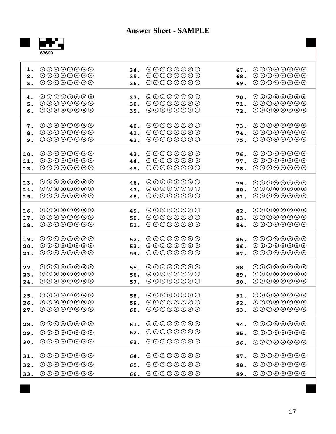

| 1.                | $\odot$ $\odot$ $\odot$ $\odot$ $\odot$ $\odot$ $\odot$                                                                                                                       | 34.        | $\odot$ $\odot$ $\odot$ $\odot$ $\odot$ $\odot$ $\odot$                                                                                                                             | 67.               | $\odot$ $\odot$ $\odot$ $\odot$ $\odot$ $\odot$ $\odot$                                                                                                                       |
|-------------------|-------------------------------------------------------------------------------------------------------------------------------------------------------------------------------|------------|-------------------------------------------------------------------------------------------------------------------------------------------------------------------------------------|-------------------|-------------------------------------------------------------------------------------------------------------------------------------------------------------------------------|
| 2.                | $\odot$ $\odot$ $\odot$ $\odot$ $\odot$ $\odot$ $\odot$                                                                                                                       | 35.        | $\odot$ $\odot$ $\odot$ $\odot$ $\odot$ $\odot$ $\odot$                                                                                                                             | 68.               | $\odot$ $\odot$ $\odot$ $\odot$ $\odot$ $\odot$ $\odot$                                                                                                                       |
| 3.                | $\odot$ $\odot$ $\odot$ $\odot$ $\odot$ $\odot$ $\odot$                                                                                                                       | 36.        | $\odot$ $\odot$ $\odot$ $\odot$ $\odot$ $\odot$ $\odot$                                                                                                                             | 69.               | $\odot$ $\odot$ $\odot$ $\odot$ $\odot$ $\odot$ $\odot$                                                                                                                       |
| 4.                | $\odot$ $\odot$ $\odot$ $\odot$ $\odot$ $\odot$ $\odot$                                                                                                                       | 37.        | $\odot$ $\odot$ $\odot$ $\odot$ $\odot$ $\odot$ $\odot$                                                                                                                             | 70.               | $\odot$ $\odot$ $\odot$ $\odot$ $\odot$ $\odot$ $\odot$                                                                                                                       |
| 5.                | $\odot$ $\odot$ $\odot$ $\odot$ $\odot$ $\odot$ $\odot$                                                                                                                       | 38.        | $\odot$ $\odot$ $\odot$ $\odot$ $\odot$ $\odot$ $\odot$                                                                                                                             | 71.               | $\odot$ $\odot$ $\odot$ $\odot$ $\odot$ $\odot$ $\odot$                                                                                                                       |
| б.                | $\odot$ $\odot$ $\odot$ $\odot$ $\odot$ $\odot$ $\odot$                                                                                                                       | 39.        | $\odot$ $\odot$ $\odot$ $\odot$ $\odot$ $\odot$ $\odot$                                                                                                                             | 72.               | $\odot$ $\odot$ $\odot$ $\odot$ $\odot$ $\odot$ $\odot$                                                                                                                       |
| 7.                | $\odot$ $\odot$ $\odot$ $\odot$ $\odot$ $\odot$ $\odot$                                                                                                                       | 40.        | $\odot$ $\odot$ $\odot$ $\odot$ $\odot$ $\odot$ $\odot$                                                                                                                             | 73.               | $\odot$ $\odot$ $\odot$ $\odot$ $\odot$ $\odot$ $\odot$                                                                                                                       |
| 8.                | $\odot$ $\odot$ $\odot$ $\odot$ $\odot$ $\odot$ $\odot$                                                                                                                       | 41.        | $\odot$ $\odot$ $\odot$ $\odot$ $\odot$ $\odot$ $\odot$                                                                                                                             | 74.               | $\odot$ $\odot$ $\odot$ $\odot$ $\odot$ $\odot$ $\odot$                                                                                                                       |
| 9.                | $\odot$ $\odot$ $\odot$ $\odot$ $\odot$ $\odot$ $\odot$                                                                                                                       | 42.        | $\odot$ $\odot$ $\odot$ $\odot$ $\odot$ $\odot$ $\odot$                                                                                                                             | 75.               | $\odot$ $\odot$ $\odot$ $\odot$ $\odot$ $\odot$ $\odot$                                                                                                                       |
| 10.               | $\odot$ $\odot$ $\odot$ $\odot$ $\odot$ $\odot$ $\odot$                                                                                                                       | 43.        | $\odot$ $\odot$ $\odot$ $\odot$ $\odot$ $\odot$ $\odot$                                                                                                                             | 76.               | $\odot$ $\odot$ $\odot$ $\odot$ $\odot$ $\odot$ $\odot$                                                                                                                       |
| 11.               | $\odot$ $\odot$ $\odot$ $\odot$ $\odot$ $\odot$ $\odot$                                                                                                                       | 44.        | $\odot$ $\odot$ $\odot$ $\odot$ $\odot$ $\odot$ $\odot$                                                                                                                             | 77.               | $\odot$ $\odot$ $\odot$ $\odot$ $\odot$ $\odot$ $\odot$                                                                                                                       |
| 12.               | $\odot$ $\odot$ $\odot$ $\odot$ $\odot$ $\odot$ $\odot$                                                                                                                       | 45.        | $\odot$ $\odot$ $\odot$ $\odot$ $\odot$ $\odot$ $\odot$                                                                                                                             | 78.               | $\odot$ $\odot$ $\odot$ $\odot$ $\odot$ $\odot$ $\odot$                                                                                                                       |
| 13.               | $\odot$ $\odot$ $\odot$ $\odot$ $\odot$ $\odot$ $\odot$                                                                                                                       | 46.        | $\odot$ $\odot$ $\odot$ $\odot$ $\odot$ $\odot$ $\odot$                                                                                                                             | 79.               | $\odot$ $\odot$ $\odot$ $\odot$ $\odot$ $\odot$ $\odot$                                                                                                                       |
| 14.               | $\odot\odot\odot\odot\odot\odot$                                                                                                                                              | 47.        | $\odot$ $\odot$ $\odot$ $\odot$ $\odot$ $\odot$ $\odot$                                                                                                                             | 80.               | $\odot$ $\odot$ $\odot$ $\odot$ $\odot$ $\odot$ $\odot$                                                                                                                       |
| 15.               | $\odot$ $\odot$ $\odot$ $\odot$ $\odot$ $\odot$ $\odot$                                                                                                                       | 48.        | $\odot$ $\odot$ $\odot$ $\odot$ $\odot$ $\odot$ $\odot$                                                                                                                             | 81.               | $\odot$ $\odot$ $\odot$ $\odot$ $\odot$ $\odot$ $\odot$                                                                                                                       |
| 16.               | $\odot$ $\odot$ $\odot$ $\odot$ $\odot$ $\odot$ $\odot$                                                                                                                       | 49.        | $\odot$ $\odot$ $\odot$ $\odot$ $\odot$ $\odot$ $\odot$                                                                                                                             | 82.               | $\odot$ $\odot$ $\odot$ $\odot$ $\odot$ $\odot$ $\odot$                                                                                                                       |
| 17.               | $\odot$ $\odot$ $\odot$ $\odot$ $\odot$ $\odot$ $\odot$                                                                                                                       | 50.        | $\odot$ $\odot$ $\odot$ $\odot$ $\odot$ $\odot$ $\odot$                                                                                                                             | 83.               | $\odot$ $\odot$ $\odot$ $\odot$ $\odot$ $\odot$ $\odot$                                                                                                                       |
| 18.               | $\odot$ $\odot$ $\odot$ $\odot$ $\odot$ $\odot$ $\odot$                                                                                                                       | 51.        | $\odot$ $\odot$ $\odot$ $\odot$ $\odot$ $\odot$ $\odot$                                                                                                                             | 84.               | $\odot$ $\odot$ $\odot$ $\odot$ $\odot$ $\odot$ $\odot$                                                                                                                       |
| 19.               | $\odot$ $\odot$ $\odot$ $\odot$ $\odot$ $\odot$ $\odot$                                                                                                                       | 52.        | $\odot$ $\odot$ $\odot$ $\odot$ $\odot$ $\odot$ $\odot$                                                                                                                             | 85.               | $\odot$ $\odot$ $\odot$ $\odot$ $\odot$ $\odot$ $\odot$                                                                                                                       |
| 20.               | $\odot$ $\odot$ $\odot$ $\odot$ $\odot$ $\odot$ $\odot$                                                                                                                       | 53.        | $\odot$ $\odot$ $\odot$ $\odot$ $\odot$ $\odot$ $\odot$                                                                                                                             | 86.               | $\odot$ $\odot$ $\odot$ $\odot$ $\odot$ $\odot$ $\odot$                                                                                                                       |
| 21.               | $\odot$ $\odot$ $\odot$ $\odot$ $\odot$ $\odot$ $\odot$                                                                                                                       | 54.        | $\odot$ $\odot$ $\odot$ $\odot$ $\odot$ $\odot$ $\odot$                                                                                                                             | 87.               | $\odot$ $\odot$ $\odot$ $\odot$ $\odot$ $\odot$ $\odot$                                                                                                                       |
| 22.               | $\odot$ $\odot$ $\odot$ $\odot$ $\odot$ $\odot$ $\odot$                                                                                                                       | 55.        | $\odot$ $\odot$ $\odot$ $\odot$ $\odot$ $\odot$ $\odot$                                                                                                                             | 88.               | $\odot$ $\odot$ $\odot$ $\odot$ $\odot$ $\odot$ $\odot$                                                                                                                       |
| 23.               | $\odot$ $\odot$ $\odot$ $\odot$ $\odot$ $\odot$ $\odot$                                                                                                                       | 56.        | $\odot$ $\odot$ $\odot$ $\odot$ $\odot$ $\odot$ $\odot$                                                                                                                             | 89.               | $\odot$ $\odot$ $\odot$ $\odot$ $\odot$ $\odot$ $\odot$                                                                                                                       |
| 24.               | $\odot$ $\odot$ $\odot$ $\odot$ $\odot$ $\odot$ $\odot$                                                                                                                       | 57.        | $\odot$ $\odot$ $\odot$ $\odot$ $\odot$ $\odot$ $\odot$                                                                                                                             | 90.               | $\odot$ $\odot$ $\odot$ $\odot$ $\odot$ $\odot$ $\odot$                                                                                                                       |
| 25.<br>26.<br>27. | $\odot$ $\odot$ $\odot$ $\odot$ $\odot$ $\odot$ $\odot$<br>$\odot$ $\odot$ $\odot$ $\odot$ $\odot$ $\odot$ $\odot$<br>$\odot$ $\odot$ $\odot$ $\odot$ $\odot$ $\odot$ $\odot$ | 58.<br>59. | $\odot$ $\odot$ $\odot$ $\odot$ $\odot$ $\odot$ $\odot$<br>$\odot$ $\odot$ $\odot$ $\odot$ $\odot$ $\odot$ $\odot$<br>$60.$ $\odot$ $\odot$ $\odot$ $\odot$ $\odot$ $\odot$ $\odot$ | 91.<br>92.<br>93. | $\odot$ $\odot$ $\odot$ $\odot$ $\odot$ $\odot$ $\odot$<br>$\odot$ $\odot$ $\odot$ $\odot$ $\odot$ $\odot$ $\odot$<br>$\odot$ $\odot$ $\odot$ $\odot$ $\odot$ $\odot$ $\odot$ |
| 28.               | $\odot$ $\odot$ $\odot$ $\odot$ $\odot$ $\odot$ $\odot$                                                                                                                       | 61.        | $\odot$ $\odot$ $\odot$ $\odot$ $\odot$ $\odot$ $\odot$                                                                                                                             | 94.               | $\odot$ $\odot$ $\odot$ $\odot$ $\odot$ $\odot$ $\odot$                                                                                                                       |
| 29.               | $\odot$ $\odot$ $\odot$ $\odot$ $\odot$ $\odot$ $\odot$                                                                                                                       | 62.        | $\odot$ $\odot$ $\odot$ $\odot$ $\odot$ $\odot$ $\odot$                                                                                                                             | 95.               | $\odot$ $\odot$ $\odot$ $\odot$ $\odot$ $\odot$ $\odot$                                                                                                                       |
| 30.               | $\odot$ $\odot$ $\odot$ $\odot$ $\odot$ $\odot$ $\odot$                                                                                                                       | 63.        | $\odot$ $\odot$ $\odot$ $\odot$ $\odot$ $\odot$ $\odot$                                                                                                                             | 96.               | $\odot\odot\odot\odot\odot\odot$                                                                                                                                              |
| 31.               | $\odot$ $\odot$ $\odot$ $\odot$ $\odot$ $\odot$ $\odot$                                                                                                                       | 64.        | $\odot$ $\odot$ $\odot$ $\odot$ $\odot$ $\odot$ $\odot$                                                                                                                             | 97.               | $\odot$ $\odot$ $\odot$ $\odot$ $\odot$ $\odot$ $\odot$                                                                                                                       |
| 32.               | $\odot$ $\odot$ $\odot$ $\odot$ $\odot$ $\odot$ $\odot$                                                                                                                       | 65.        | $\odot$ $\odot$ $\odot$ $\odot$ $\odot$ $\odot$ $\odot$                                                                                                                             | 98.               | $\odot$ $\odot$ $\odot$ $\odot$ $\odot$ $\odot$ $\odot$                                                                                                                       |
| 33.               | $\odot$ $\odot$ $\odot$ $\odot$ $\odot$ $\odot$ $\odot$                                                                                                                       | 66.        | $\odot$ $\odot$ $\odot$ $\odot$ $\odot$ $\odot$ $\odot$                                                                                                                             | 99.               | $\odot$ $\odot$ $\odot$ $\odot$ $\odot$ $\odot$ $\odot$                                                                                                                       |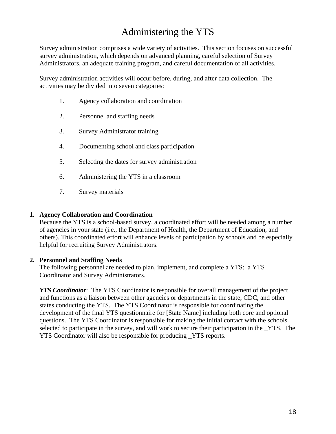# Administering the YTS

Survey administration comprises a wide variety of activities. This section focuses on successful survey administration, which depends on advanced planning, careful selection of Survey Administrators, an adequate training program, and careful documentation of all activities.

Survey administration activities will occur before, during, and after data collection. The activities may be divided into seven categories:

- 1. Agency collaboration and coordination
- 2. Personnel and staffing needs
- 3. Survey Administrator training
- 4. Documenting school and class participation
- 5. Selecting the dates for survey administration
- 6. Administering the YTS in a classroom
- 7. Survey materials

#### **1. Agency Collaboration and Coordination**

Because the YTS is a school-based survey, a coordinated effort will be needed among a number of agencies in your state (i.e., the Department of Health, the Department of Education, and others). This coordinated effort will enhance levels of participation by schools and be especially helpful for recruiting Survey Administrators.

#### **2. Personnel and Staffing Needs**

The following personnel are needed to plan, implement, and complete a YTS: a YTS Coordinator and Survey Administrators.

*YTS Coordinator:* The YTS Coordinator is responsible for overall management of the project and functions as a liaison between other agencies or departments in the state, CDC, and other states conducting the YTS. The YTS Coordinator is responsible for coordinating the development of the final YTS questionnaire for [State Name] including both core and optional questions. The YTS Coordinator is responsible for making the initial contact with the schools selected to participate in the survey, and will work to secure their participation in the \_YTS. The YTS Coordinator will also be responsible for producing \_YTS reports.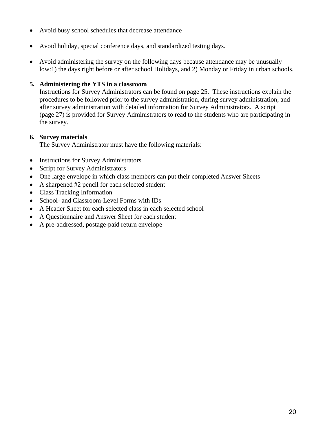- Avoid busy school schedules that decrease attendance
- Avoid holiday, special conference days, and standardized testing days.
- Avoid administering the survey on the following days because attendance may be unusually low:1) the days right before or after school Holidays, and 2) Monday or Friday in urban schools.

# **5. Administering the YTS in a classroom**

Instructions for Survey Administrators can be found on page 25. These instructions explain the procedures to be followed prior to the survey administration, during survey administration, and after survey administration with detailed information for Survey Administrators. A script (page 27) is provided for Survey Administrators to read to the students who are participating in the survey.

### **6. Survey materials**

The Survey Administrator must have the following materials:

- Instructions for Survey Administrators
- Script for Survey Administrators
- One large envelope in which class members can put their completed Answer Sheets
- A sharpened #2 pencil for each selected student
- Class Tracking Information
- School- and Classroom-Level Forms with IDs
- A Header Sheet for each selected class in each selected school
- A Questionnaire and Answer Sheet for each student
- A pre-addressed, postage-paid return envelope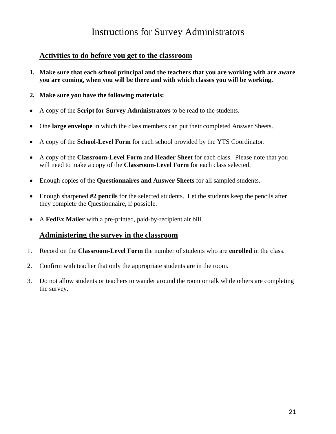# Instructions for Survey Administrators

# **Activities to do before you get to the classroom**

- **1. Make sure that each school principal and the teachers that you are working with are aware you are coming, when you will be there and with which classes you will be working.**
- **2. Make sure you have the following materials:**
- A copy of the **Script for Survey Administrators** to be read to the students.
- One **large envelope** in which the class members can put their completed Answer Sheets.
- A copy of the **School-Level Form** for each school provided by the YTS Coordinator.
- A copy of the **Classroom-Level Form** and **Header Sheet** for each class. Please note that you will need to make a copy of the **Classroom-Level Form** for each class selected.
- Enough copies of the **Questionnaires and Answer Sheets** for all sampled students.
- Enough sharpened **#2 pencils** for the selected students. Let the students keep the pencils after they complete the Questionnaire, if possible.
- A **FedEx Mailer** with a pre-printed, paid-by-recipient air bill.

# **Administering the survey in the classroom**

- 1. Record on the **Classroom-Level Form** the number of students who are **enrolled** in the class.
- 2. Confirm with teacher that only the appropriate students are in the room.
- 3. Do not allow students or teachers to wander around the room or talk while others are completing the survey.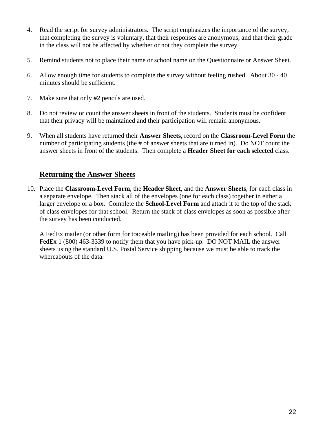- 4. Read the script for survey administrators. The script emphasizes the importance of the survey, that completing the survey is voluntary, that their responses are anonymous, and that their grade in the class will not be affected by whether or not they complete the survey.
- 5. Remind students not to place their name or school name on the Questionnaire or Answer Sheet.
- 6. Allow enough time for students to complete the survey without feeling rushed. About 30 40 minutes should be sufficient.
- 7. Make sure that only #2 pencils are used.
- 8. Do not review or count the answer sheets in front of the students. Students must be confident that their privacy will be maintained and their participation will remain anonymous.
- 9. When all students have returned their **Answer Sheets**, record on the **Classroom-Level Form** the number of participating students (the # of answer sheets that are turned in). Do NOT count the answer sheets in front of the students. Then complete a **Header Sheet for each selected** class.

# **Returning the Answer Sheets**

10. Place the **Classroom-Level Form**, the **Header Sheet**, and the **Answer Sheets**, for each class in a separate envelope. Then stack all of the envelopes (one for each class) together in either a larger envelope or a box. Complete the **School-Level Form** and attach it to the top of the stack of class envelopes for that school. Return the stack of class envelopes as soon as possible after the survey has been conducted.

A FedEx mailer (or other form for traceable mailing) has been provided for each school. Call FedEx 1 (800) 463-3339 to notify them that you have pick-up. DO NOT MAIL the answer sheets using the standard U.S. Postal Service shipping because we must be able to track the whereabouts of the data.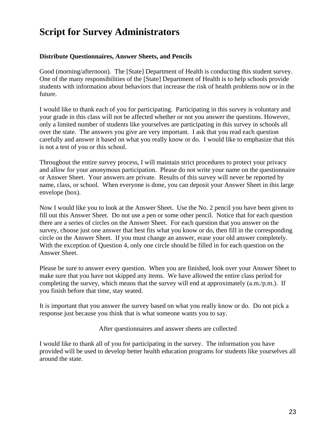# **Script for Survey Administrators**

### **Distribute Questionnaires, Answer Sheets, and Pencils**

Good (morning/afternoon). The [State] Department of Health is conducting this student survey. One of the many responsibilities of the [State] Department of Health is to help schools provide students with information about behaviors that increase the risk of health problems now or in the future.

I would like to thank each of you for participating. Participating in this survey is voluntary and your grade in this class will not be affected whether or not you answer the questions. However, only a limited number of students like yourselves are participating in this survey in schools all over the state. The answers you give are very important. I ask that you read each question carefully and answer it based on what you really know or do. I would like to emphasize that this is not a test of you or this school.

Throughout the entire survey process, I will maintain strict procedures to protect your privacy and allow for your anonymous participation. Please do not write your name on the questionnaire or Answer Sheet. Your answers are private. Results of this survey will never be reported by name, class, or school. When everyone is done, you can deposit your Answer Sheet in this large envelope (box).

Now I would like you to look at the Answer Sheet. Use the No. 2 pencil you have been given to fill out this Answer Sheet. Do not use a pen or some other pencil. Notice that for each question there are a series of circles on the Answer Sheet. For each question that you answer on the survey, choose just one answer that best fits what you know or do, then fill in the corresponding circle on the Answer Sheet. If you must change an answer, erase your old answer completely. With the exception of Question 4, only one circle should be filled in for each question on the Answer Sheet.

Please be sure to answer every question. When you are finished, look over your Answer Sheet to make sure that you have not skipped any items. We have allowed the entire class period for completing the survey, which means that the survey will end at approximately (a.m./p.m.). If you finish before that time, stay seated.

It is important that you answer the survey based on what you really know or do. Do not pick a response just because you think that is what someone wants you to say.

After questionnaires and answer sheets are collected

I would like to thank all of you for participating in the survey. The information you have provided will be used to develop better health education programs for students like yourselves all around the state.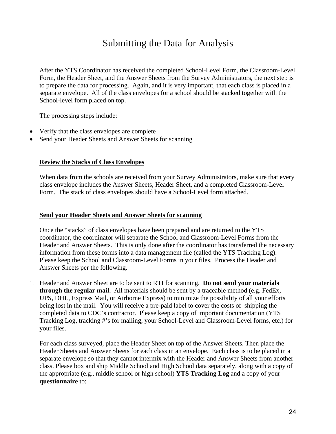# Submitting the Data for Analysis

After the YTS Coordinator has received the completed School-Level Form, the Classroom-Level Form, the Header Sheet, and the Answer Sheets from the Survey Administrators, the next step is to prepare the data for processing. Again, and it is very important, that each class is placed in a separate envelope. All of the class envelopes for a school should be stacked together with the School-level form placed on top.

The processing steps include:

- Verify that the class envelopes are complete
- Send your Header Sheets and Answer Sheets for scanning

#### **Review the Stacks of Class Envelopes**

When data from the schools are received from your Survey Administrators, make sure that every class envelope includes the Answer Sheets, Header Sheet, and a completed Classroom-Level Form. The stack of class envelopes should have a School-Level form attached.

#### **Send your Header Sheets and Answer Sheets for scanning**

Once the "stacks" of class envelopes have been prepared and are returned to the YTS coordinator, the coordinator will separate the School and Classroom-Level Forms from the Header and Answer Sheets. This is only done after the coordinator has transferred the necessary information from these forms into a data management file (called the YTS Tracking Log). Please keep the School and Classroom-Level Forms in your files. Process the Header and Answer Sheets per the following.

1. Header and Answer Sheet are to be sent to RTI for scanning. **Do not send your materials through the regular mail.** All materials should be sent by a traceable method (e.g. FedEx, UPS, DHL, Express Mail, or Airborne Express) to minimize the possibility of all your efforts being lost in the mail. You will receive a pre-paid label to cover the costs of shipping the completed data to CDC's contractor. Please keep a copy of important documentation (YTS Tracking Log, tracking #'s for mailing, your School-Level and Classroom-Level forms, etc.) for your files.

For each class surveyed, place the Header Sheet on top of the Answer Sheets. Then place the Header Sheets and Answer Sheets for each class in an envelope. Each class is to be placed in a separate envelope so that they cannot intermix with the Header and Answer Sheets from another class. Please box and ship Middle School and High School data separately, along with a copy of the appropriate (e.g., middle school or high school) **YTS Tracking Log** and a copy of your **questionnaire** to: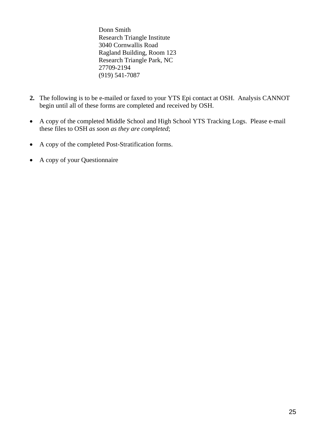Donn Smith Research Triangle Institute 3040 Cornwallis Road Ragland Building, Room 123 Research Triangle Park, NC 27709-2194 (919) 541-7087

- **2.** The following is to be e-mailed or faxed to your YTS Epi contact at OSH. Analysis CANNOT begin until all of these forms are completed and received by OSH.
- A copy of the completed Middle School and High School YTS Tracking Logs. Please e-mail these files to OSH *as soon as they are completed*;
- A copy of the completed Post-Stratification forms.
- A copy of your Questionnaire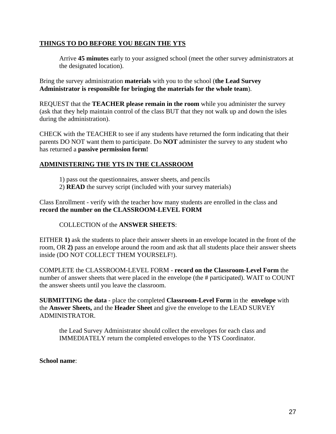### **THINGS TO DO BEFORE YOU BEGIN THE YTS**

 Arrive **45 minutes** early to your assigned school (meet the other survey administrators at the designated location).

Bring the survey administration **materials** with you to the school (**the Lead Survey Administrator is responsible for bringing the materials for the whole team**).

REQUEST that the **TEACHER please remain in the room** while you administer the survey (ask that they help maintain control of the class BUT that they not walk up and down the isles during the administration).

CHECK with the TEACHER to see if any students have returned the form indicating that their parents DO NOT want them to participate. Do **NOT** administer the survey to any student who has returned a **passive permission form!** 

# **ADMINISTERING THE YTS IN THE CLASSROOM**

- 1) pass out the questionnaires, answer sheets, and pencils
- 2) **READ** the survey script (included with your survey materials)

Class Enrollment - verify with the teacher how many students are enrolled in the class and **record the number on the CLASSROOM-LEVEL FORM**

COLLECTION of the **ANSWER SHEETS**:

EITHER **1)** ask the students to place their answer sheets in an envelope located in the front of the room, OR **2)** pass an envelope around the room and ask that all students place their answer sheets inside (DO NOT COLLECT THEM YOURSELF!).

COMPLETE the CLASSROOM-LEVEL FORM - **record on the Classroom-Level Form** the number of answer sheets that were placed in the envelope (the # participated). WAIT to COUNT the answer sheets until you leave the classroom.

**SUBMITTING the data** - place the completed **Classroom-Level Form** in the **envelope** with the **Answer Sheets,** and the **Header Sheet** and give the envelope to the LEAD SURVEY ADMINISTRATOR.

the Lead Survey Administrator should collect the envelopes for each class and IMMEDIATELY return the completed envelopes to the YTS Coordinator.

#### **School name**: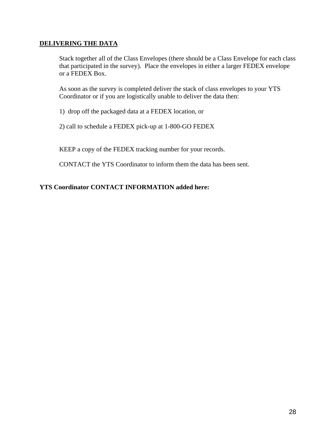### **DELIVERING THE DATA**

Stack together all of the Class Envelopes (there should be a Class Envelope for each class that participated in the survey). Place the envelopes in either a larger FEDEX envelope or a FEDEX Box.

As soon as the survey is completed deliver the stack of class envelopes to your YTS Coordinator or if you are logistically unable to deliver the data then:

1) drop off the packaged data at a FEDEX location, or

2) call to schedule a FEDEX pick-up at 1-800-GO FEDEX

KEEP a copy of the FEDEX tracking number for your records.

CONTACT the YTS Coordinator to inform them the data has been sent.

### **YTS Coordinator CONTACT INFORMATION added here:**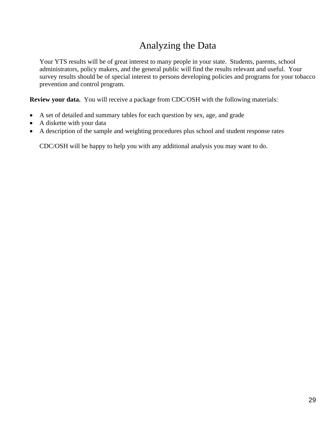# Analyzing the Data

Your YTS results will be of great interest to many people in your state. Students, parents, school administrators, policy makers, and the general public will find the results relevant and useful. Your survey results should be of special interest to persons developing policies and programs for your tobacco prevention and control program.

**Review your data.** You will receive a package from CDC/OSH with the following materials:

- A set of detailed and summary tables for each question by sex, age, and grade
- A diskette with your data
- A description of the sample and weighting procedures plus school and student response rates

CDC/OSH will be happy to help you with any additional analysis you may want to do.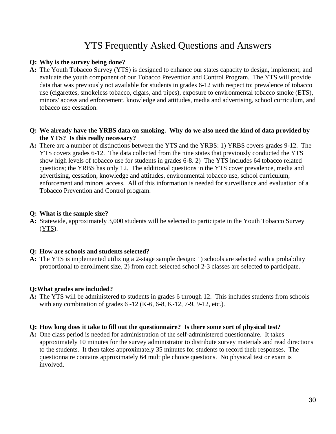# YTS Frequently Asked Questions and Answers

#### **Q: Why is the survey being done?**

- **A:** The Youth Tobacco Survey (YTS) is designed to enhance our states capacity to design, implement, and evaluate the youth component of our Tobacco Prevention and Control Program. The YTS will provide data that was previously not available for students in grades 6-12 with respect to: prevalence of tobacco use (cigarettes, smokeless tobacco, cigars, and pipes), exposure to environmental tobacco smoke (ETS), minors' access and enforcement, knowledge and attitudes, media and advertising, school curriculum, and tobacco use cessation.
- **Q: We already have the YRBS data on smoking. Why do we also need the kind of data provided by the YTS? Is this really necessary?**
- **A:** There are a number of distinctions between the YTS and the YRBS: 1) YRBS covers grades 9-12. The YTS covers grades 6-12. The data collected from the nine states that previously conducted the YTS show high levels of tobacco use for students in grades 6-8. 2) The YTS includes 64 tobacco related questions; the YRBS has only 12. The additional questions in the YTS cover prevalence, media and advertising, cessation, knowledge and attitudes, environmental tobacco use, school curriculum, enforcement and minors' access. All of this information is needed for surveillance and evaluation of a Tobacco Prevention and Control program.

### **Q: What is the sample size?**

**A:** Statewide, approximately 3,000 students will be selected to participate in the Youth Tobacco Survey (YTS).

#### **Q: How are schools and students selected?**

**A:** The YTS is implemented utilizing a 2-stage sample design: 1) schools are selected with a probability proportional to enrollment size, 2) from each selected school 2-3 classes are selected to participate.

#### **Q:What grades are included?**

**A:** The YTS will be administered to students in grades 6 through 12. This includes students from schools with any combination of grades 6 -12 (K-6, 6-8, K-12, 7-9, 9-12, etc.).

### **Q: How long does it take to fill out the questionnaire? Is there some sort of physical test?**

**A:** One class period is needed for administration of the self-administered questionnaire. It takes approximately 10 minutes for the survey administrator to distribute survey materials and read directions to the students. It then takes approximately 35 minutes for students to record their responses. The questionnaire contains approximately 64 multiple choice questions. No physical test or exam is involved.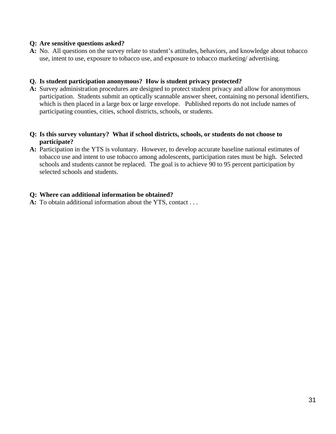#### **Q: Are sensitive questions asked?**

**A:** No. All questions on the survey relate to student's attitudes, behaviors, and knowledge about tobacco use, intent to use, exposure to tobacco use, and exposure to tobacco marketing/ advertising.

### **Q. Is student participation anonymous? How is student privacy protected?**

**A:** Survey administration procedures are designed to protect student privacy and allow for anonymous participation. Students submit an optically scannable answer sheet, containing no personal identifiers, which is then placed in a large box or large envelope. Published reports do not include names of participating counties, cities, school districts, schools, or students.

### **Q: Is this survey voluntary? What if school districts, schools, or students do not choose to participate?**

**A:** Participation in the YTS is voluntary. However, to develop accurate baseline national estimates of tobacco use and intent to use tobacco among adolescents, participation rates must be high. Selected schools and students cannot be replaced. The goal is to achieve 90 to 95 percent participation by selected schools and students.

#### **Q: Where can additional information be obtained?**

**A:** To obtain additional information about the YTS, contact . . .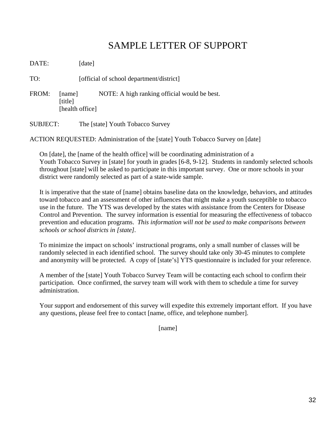# SAMPLE LETTER OF SUPPORT

DATE: [date]

TO: [official of school department/district]

- FROM: [name] NOTE: A high ranking official would be best. [title] [health office]
- SUBJECT: The [state] Youth Tobacco Survey

ACTION REQUESTED: Administration of the [state] Youth Tobacco Survey on [date]

On [date], the [name of the health office] will be coordinating administration of a Youth Tobacco Survey in [state] for youth in grades [6-8, 9-12]. Students in randomly selected schools throughout [state] will be asked to participate in this important survey. One or more schools in your district were randomly selected as part of a state-wide sample.

It is imperative that the state of [name] obtains baseline data on the knowledge, behaviors, and attitudes toward tobacco and an assessment of other influences that might make a youth susceptible to tobacco use in the future. The YTS was developed by the states with assistance from the Centers for Disease Control and Prevention. The survey information is essential for measuring the effectiveness of tobacco prevention and education programs. *This information will not be used to make comparisons between schools or school districts in [state].* 

To minimize the impact on schools' instructional programs, only a small number of classes will be randomly selected in each identified school. The survey should take only 30-45 minutes to complete and anonymity will be protected. A copy of [state's] YTS questionnaire is included for your reference.

A member of the [state] Youth Tobacco Survey Team will be contacting each school to confirm their participation. Once confirmed, the survey team will work with them to schedule a time for survey administration.

Your support and endorsement of this survey will expedite this extremely important effort. If you have any questions, please feel free to contact [name, office, and telephone number].

[name]